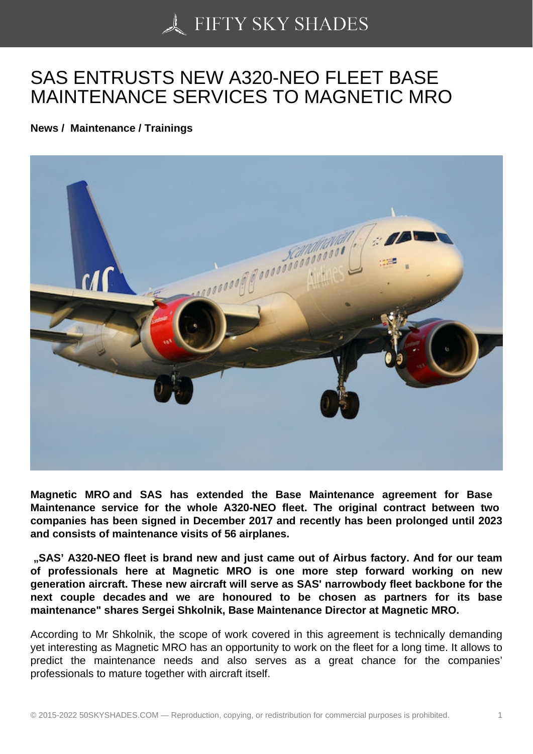## [SAS ENTRUSTS NEW](https://50skyshades.com) A320-NEO FLEET BASE MAINTENANCE SERVICES TO MAGNETIC MRO

News / Maintenance / Trainings

Magnetic MRO and SAS has extended the Base Maintenance agreement for Base Maintenance service for the whole A 320-NEO fleet. The original contract between two companies has been signed in December 2017 and recently has been prolonged until 2023 and consists of maintenance visits of 56 airplanes.

"SAS' A320-NEO fleet is brand new and just came out of Airbus factory. And for our team of professionals here at Magnetic MRO is one more step forward working on new generation aircraft. These new aircraft will serve as SAS' narrowbody fleet backbone for the next couple decades and we are honoured to be chosen as partners for its base maintenance" shares Sergei Shkolnik, Base Maintenance Director at Magnetic MRO.

According to Mr Shkolnik, the scope of work covered in this agreement is technically demanding yet interesting as Magnetic MRO has an opportunity to work on the fleet for a long time. It allows to predict the maintenance needs and also serves as a great chance for the companies' professionals to mature together with aircraft itself.